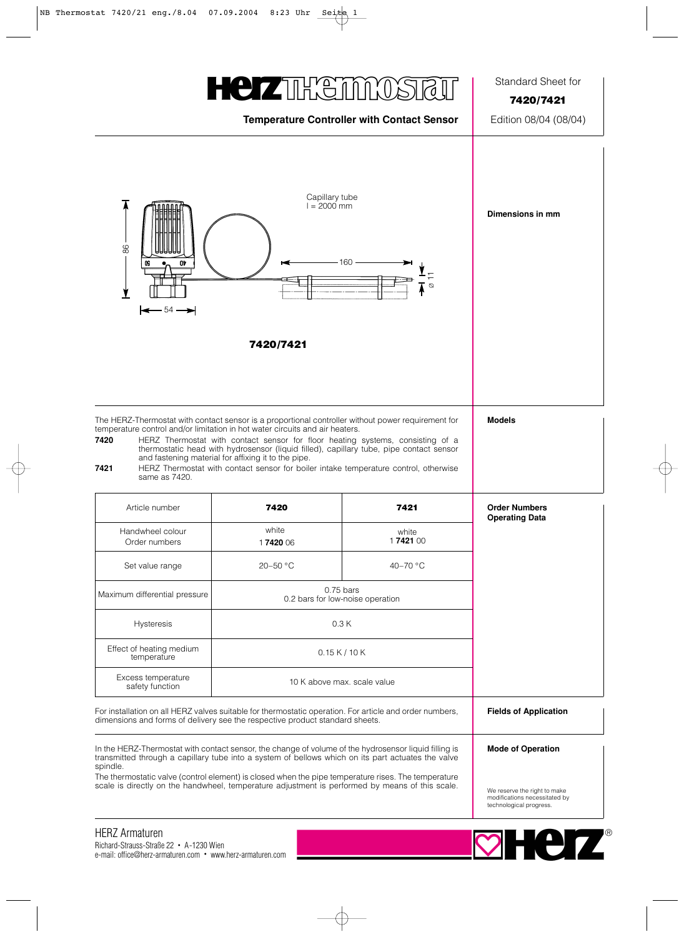## **HEIZTERETHINGS**

## **Temperature Controller with Contact Sensor** Edition 08/04 (08/04)

Standard Sheet for

**7420/7421**